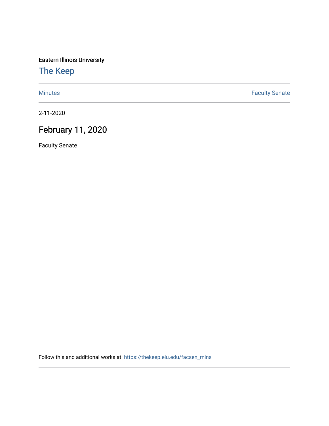Eastern Illinois University

[The Keep](https://thekeep.eiu.edu/) 

[Minutes](https://thekeep.eiu.edu/facsen_mins) **Faculty Senate** 

2-11-2020

# February 11, 2020

Faculty Senate

Follow this and additional works at: [https://thekeep.eiu.edu/facsen\\_mins](https://thekeep.eiu.edu/facsen_mins?utm_source=thekeep.eiu.edu%2Ffacsen_mins%2F1133&utm_medium=PDF&utm_campaign=PDFCoverPages)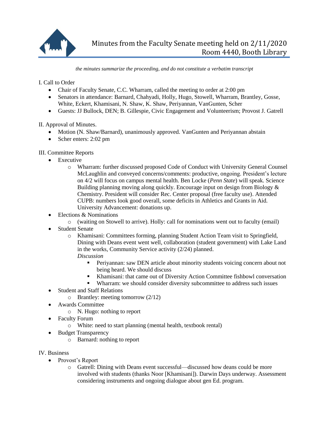

*the minutes summarize the proceeding, and do not constitute a verbatim transcript*

I. Call to Order

- Chair of Faculty Senate, C.C. Wharram, called the meeting to order at 2:00 pm
- Senators in attendance: Barnard, Chahyadi, Holly, Hugo, Stowell, Wharram, Brantley, Gosse, White, Eckert, Khamisani, N. Shaw, K. Shaw, Periyannan, VanGunten, Scher
- Guests: JJ Bullock, DEN; B. Gillespie, Civic Engagement and Volunteerism; Provost J. Gatrell

II. Approval of Minutes.

- Motion (N. Shaw/Barnard), unanimously approved. VanGunten and Periyannan abstain
- Scher enters: 2:02 pm

## III. Committee Reports

- Executive
	- o Wharram: further discussed proposed Code of Conduct with University General Counsel McLaughlin and conveyed concerns/comments: productive, ongoing. President's lecture on 4/2 will focus on campus mental health. Ben Locke (*Penn State*) will speak. Science Building planning moving along quickly. Encourage input on design from Biology & Chemistry. President will consider Rec. Center proposal (free faculty use). Attended CUPB: numbers look good overall, some deficits in Athletics and Grants in Aid. University Advancement: donations up.
- Elections & Nominations
	- o (waiting on Stowell to arrive). Holly: call for nominations went out to faculty (email)
- Student Senate
	- o Khamisani: Committees forming, planning Student Action Team visit to Springfield, Dining with Deans event went well, collaboration (student government) with Lake Land in the works, Community Service activity (2/24) planned. *Discussion*
		- Periyannan: saw DEN article about minority students voicing concern about not being heard. We should discuss
		- Khamisani: that came out of Diversity Action Committee fishbowl conversation
		- Wharram: we should consider diversity subcommittee to address such issues
- Student and Staff Relations
	- o Brantley: meeting tomorrow (2/12)
- Awards Committee
	- o N. Hugo: nothing to report
- Faculty Forum
	- o White: need to start planning (mental health, textbook rental)
- Budget Transparency
	- o Barnard: nothing to report
- IV. Business
	- Provost's Report
		- o Gatrell: Dining with Deans event successful—discussed how deans could be more involved with students (thanks Noor [Khamisani]). Darwin Days underway. Assessment considering instruments and ongoing dialogue about gen Ed. program.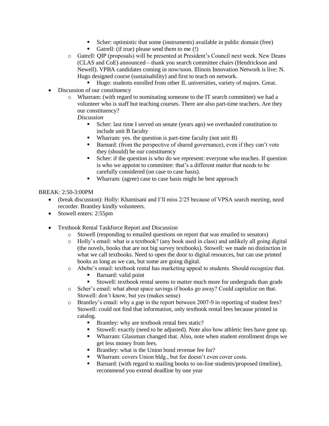- Scher: optimistic that some (instruments) available in public domain (free)
- Gatrell: (if true) please send them to me (!)
- o Gatrell: QIP (proposals) will be presented at President's Council next week. New Deans (CLAS and CoE) announced—thank you search committee chairs (Hendrickson and Newell). VPBA candidates coming in now/soon. Illinois Innovation Network is live: N. Hugo designed course (sustainability) and first to teach on network.
	- Hugo: students enrolled from other IL universities, variety of majors. Great.
- Discussion of our constituency
	- o Wharram: (with regard to nominating someone to the IT search committee) we had a volunteer who is staff but teaching courses. There are also part-time teachers. Are they our constituency?

### *Discussion*

- Scher: last time I served on senate (years ago) we overhauled constitution to include unit B faculty
- Wharram: yes. the question is part-time faculty (not unit B)
- Barnard: (from the perspective of shared governance), even if they can't vote they (should) be our constituency
- Scher: if the question is who do we represent: everyone who teaches. If question is who we appoint to committee: that's a different matter that needs to be carefully considered (on case to case basis).
- Wharram: (agree) case to case basis might be best approach

### BREAK: 2:50-3:00PM

- (break discussion): Holly: Khamisani and I'll miss 2/25 because of VPSA search meeting, need recorder. Brantley kindly volunteers.
- Stowell enters: 2:55pm
- Textbook Rental Taskforce Report and Discussion
	- o Stowell (responding to emailed questions on report that was emailed to senators)
	- o Holly's email: what is a textbook? (any book used in class) and unlikely all going digital (the novels, books that are not big survey textbooks). Stowell: we made no distinction in what we call textbooks. Need to open the door to digital resources, but can use printed books as long as we can, but some are going digital.
	- o Abebe's email: textbook rental has marketing appeal to students. Should recognize that.
		- Barnard: valid point
		- Stowell: textbook rental seems to matter much more for undergrads than grads
	- o Scher's email: what about space savings if books go away? Could capitalize on that. Stowell: don't know, but yes (makes sense)
	- o Brantley's email: why a gap in the report between 2007-9 in reporting of student fees? Stowell: could not find that information, only textbook rental fees because printed in catalog.
		- Brantley: why are textbook rental fees static?
		- Stowell: exactly (need to be adjusted). Note also how athletic fees have gone up.
		- Wharram: Glassman changed that. Also, note when student enrollment drops we get less money from fees.
		- **Brantley:** what is the Union bond revenue fee for?
		- Wharram: covers Union bldg., but fee doesn't even cover costs.
		- Barnard: (with regard to mailing books to on-line students/proposed timeline), recommend you extend deadline by one year